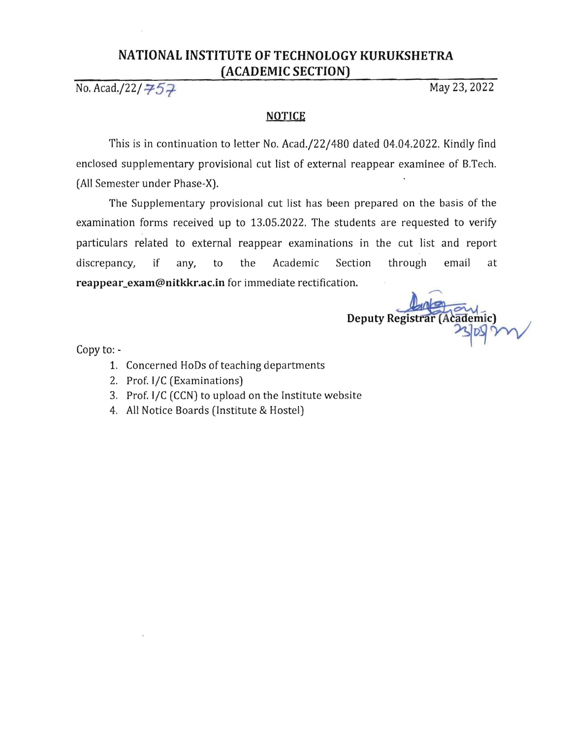## **NATIONAL INSTITUTE OF TECHNOLOGY KURUKSHETRA (ACADEMIC SECTION)**

No. Acad./22/  $\neq 5.7$ <br>May 23, 2022

## **NOTICE**

This is in continuation to letter No. Acad./22/480 dated 04.04.2022. Kindly find enclosed supplementary provisional cut list of external reappear examinee of B.Tech. (All Semester under Phase-X).

The Supplementary provisional cut list has been prepared on the basis of the examination forms received up to 13.05.2022. The students are requested to verify particulars related to external reappear examinations in the cut list and report discrepancy, if any, to the Academic Section through email at **reappear\_exam@nitkkr.ac.in** for immediate rectification.

Deputy Registrar (Academic)

Copy to:

- 1. Concerned HoDs of teaching departments
- 2. Prof. I/C (Examinations)
- 3. Prof. I/C (CCN) to upload on the Institute website
- 4. All Notice Boards (Institute & Hostel)